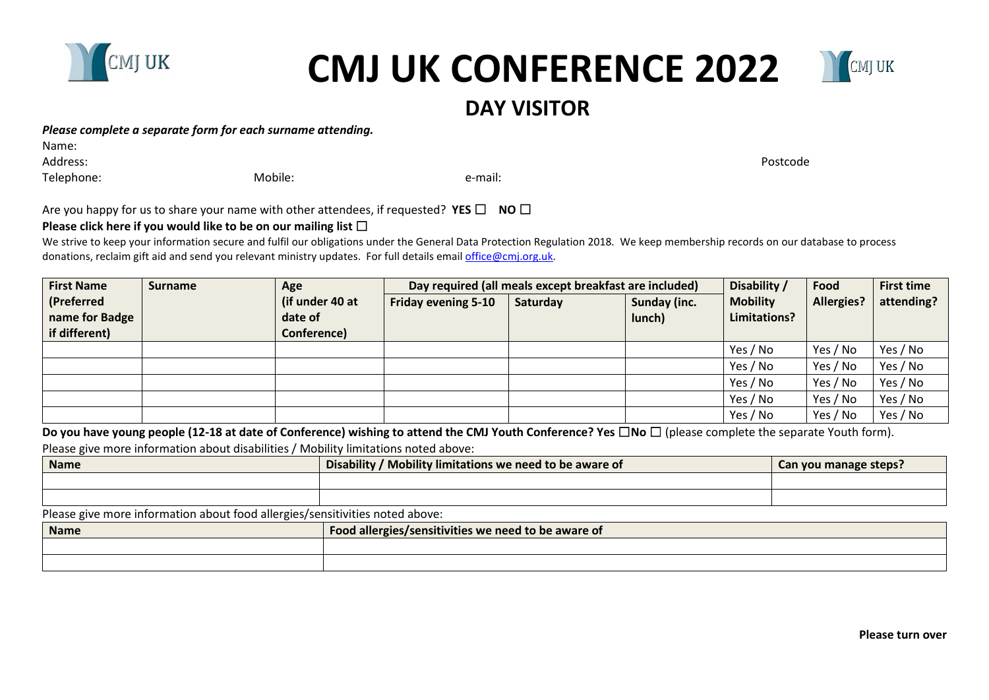

# **CMJ UK CONFERENCE 2022**



## *Please complete a separate form for each surname attending.*

Name:

Address: Postcode

Telephone: The mail: Telephone: The mail: Telephone: The mail: The mail: The mail: The mail: The mail: The mail: The mail: The mail: The mail: The mail: The mail: The mail: The mail: The mail: The mail: The mail: The mail:

Are you happy for us to share your name with other attendees, if requested? **YES** □ **NO** □

# **Please click here if you would like to be on our mailing list □**

We strive to keep your information secure and fulfil our obligations under the General Data Protection Regulation 2018. We keep membership records on our database to process donations, reclaim gift aid and send you relevant ministry updates. For full details email *office@cmj.org.uk.* 

| <b>Surname</b> | Age             | Day required (all meals except breakfast are included) |          |              | Disability /    | Food                     | <b>First time</b> |
|----------------|-----------------|--------------------------------------------------------|----------|--------------|-----------------|--------------------------|-------------------|
|                | (if under 40 at | <b>Friday evening 5-10</b>                             | Saturday | Sunday (inc. | <b>Mobility</b> | <b>Allergies?</b>        | attending?        |
|                |                 |                                                        |          |              |                 |                          |                   |
|                |                 |                                                        |          |              |                 |                          | Yes / No          |
|                |                 |                                                        |          |              | Yes / No        | Yes / No                 | Yes / No          |
|                |                 |                                                        |          |              | Yes / No        | Yes / No                 | Yes / No          |
|                |                 |                                                        |          |              | Yes / No        | Yes / No                 | Yes / No          |
|                |                 |                                                        |          |              | Yes / No        | Yes / No                 | Yes / No          |
|                |                 | date of<br>Conference)                                 |          |              | lunch)          | Limitations?<br>Yes / No | Yes / No          |

**Do you have young people (12-18 at date of Conference) wishing to attend the CMJ Youth Conference? Yes** ☐**No** ☐ (please complete the separate Youth form).

Please give more information about disabilities / Mobility limitations noted above:

| Name | , limitations we need to be aware of .<br><b>Disability</b><br><b>MODILITY</b> | nanaga<br>steps:<br>$\sim$<br><b>VOU</b><br>udil |  |
|------|--------------------------------------------------------------------------------|--------------------------------------------------|--|
|      |                                                                                |                                                  |  |
|      |                                                                                |                                                  |  |

Please give more information about food allergies/sensitivities noted above:

| <b>Name</b> | <b>Food allergies</b><br>s/sensitivities we need to be aware of |  |  |
|-------------|-----------------------------------------------------------------|--|--|
|             |                                                                 |  |  |
|             |                                                                 |  |  |